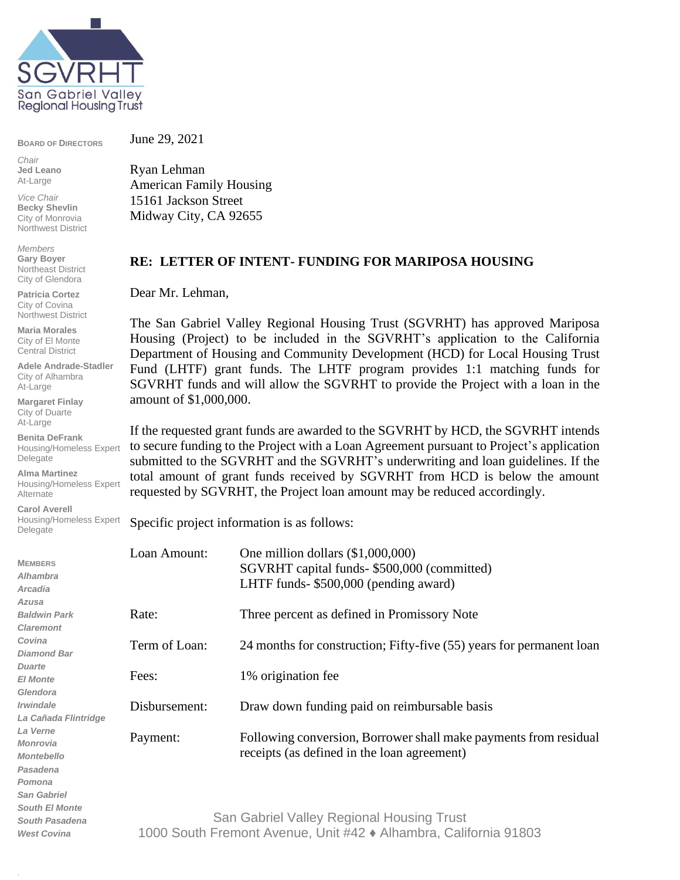

**BOARD OF DIRECTORS**

*Chair* **Jed Leano** At-Large

*Vice Chair* **Becky Shevlin** City of Monrovia Northwest District

*Members* **Gary Boyer** Northeast District City of Glendora

**Patricia Cortez** City of Covina Northwest District

**Maria Morales** City of El Monte Central District

**Adele Andrade-Stadler** City of Alhambra At-Large

**Margaret Finlay** City of Duarte At-Large

**Benita DeFrank** Housing/Homeless Expert Delegate

**Alma Martinez** Housing/Homeless Expert Alternate

**Carol Averell** Housing/Homeless Expert Delegate

.

June 29, 2021

Ryan Lehman American Family Housing 15161 Jackson Street Midway City, CA 92655

## **RE: LETTER OF INTENT- FUNDING FOR MARIPOSA HOUSING**

Dear Mr. Lehman,

The San Gabriel Valley Regional Housing Trust (SGVRHT) has approved Mariposa Housing (Project) to be included in the SGVRHT's application to the California Department of Housing and Community Development (HCD) for Local Housing Trust Fund (LHTF) grant funds. The LHTF program provides 1:1 matching funds for SGVRHT funds and will allow the SGVRHT to provide the Project with a loan in the amount of \$1,000,000.

If the requested grant funds are awarded to the SGVRHT by HCD, the SGVRHT intends to secure funding to the Project with a Loan Agreement pursuant to Project's application submitted to the SGVRHT and the SGVRHT's underwriting and loan guidelines. If the total amount of grant funds received by SGVRHT from HCD is below the amount requested by SGVRHT, the Project loan amount may be reduced accordingly.

Specific project information is as follows:

| <b>MEMBERS</b><br><b>Alhambra</b><br>Arcadia | Loan Amount:                                                     | One million dollars $(\$1,000,000)$<br>SGVRHT capital funds- \$500,000 (committed)<br>LHTF funds- \$500,000 (pending award) |
|----------------------------------------------|------------------------------------------------------------------|-----------------------------------------------------------------------------------------------------------------------------|
| Azusa<br><b>Baldwin Park</b>                 |                                                                  |                                                                                                                             |
| <b>Claremont</b>                             | Rate:                                                            | Three percent as defined in Promissory Note                                                                                 |
| Covina                                       |                                                                  |                                                                                                                             |
| <b>Diamond Bar</b>                           | Term of Loan:                                                    | 24 months for construction; Fifty-five (55) years for permanent loan                                                        |
| <b>Duarte</b>                                |                                                                  |                                                                                                                             |
| <b>El Monte</b>                              | Fees:                                                            | 1% origination fee                                                                                                          |
| Glendora                                     |                                                                  |                                                                                                                             |
| <i><b>Irwindale</b></i>                      | Disbursement:                                                    | Draw down funding paid on reimbursable basis                                                                                |
| La Cañada Flintridge                         |                                                                  |                                                                                                                             |
| La Verne                                     | Payment:                                                         | Following conversion, Borrower shall make payments from residual                                                            |
| <b>Monrovia</b>                              |                                                                  |                                                                                                                             |
| <b>Montebello</b>                            |                                                                  | receipts (as defined in the loan agreement)                                                                                 |
| Pasadena                                     |                                                                  |                                                                                                                             |
| Pomona                                       |                                                                  |                                                                                                                             |
| <b>San Gabriel</b>                           |                                                                  |                                                                                                                             |
| <b>South El Monte</b>                        |                                                                  |                                                                                                                             |
| <b>South Pasadena</b>                        | San Gabriel Valley Regional Housing Trust                        |                                                                                                                             |
| <b>West Covina</b>                           | 1000 South Fremont Avenue, Unit #42 ♦ Alhambra, California 91803 |                                                                                                                             |